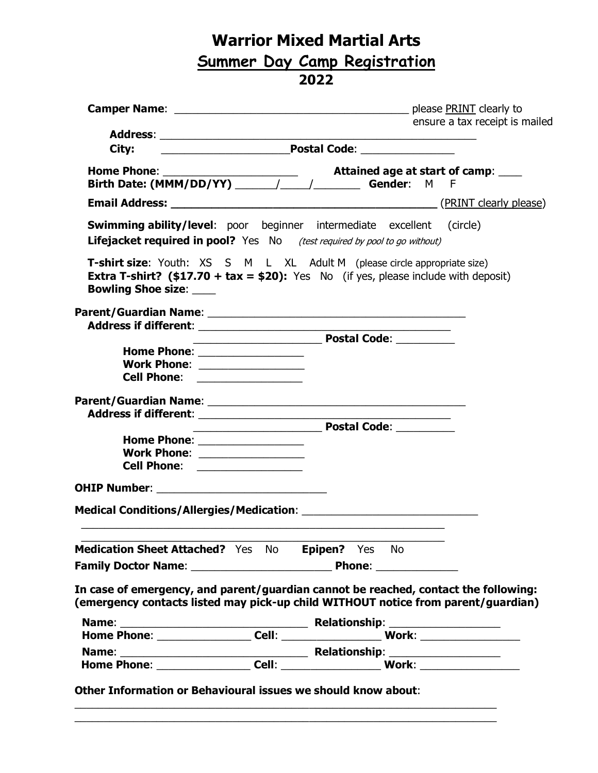## **Warrior Mixed Martial Arts Summer Day Camp Registration 2022**

|                                                                                                                                                                                                           |                                                      |                                                             | please <b>PRINT</b> clearly to |
|-----------------------------------------------------------------------------------------------------------------------------------------------------------------------------------------------------------|------------------------------------------------------|-------------------------------------------------------------|--------------------------------|
|                                                                                                                                                                                                           |                                                      |                                                             | ensure a tax receipt is mailed |
|                                                                                                                                                                                                           |                                                      |                                                             |                                |
| City:                                                                                                                                                                                                     |                                                      |                                                             |                                |
|                                                                                                                                                                                                           |                                                      |                                                             |                                |
|                                                                                                                                                                                                           |                                                      |                                                             |                                |
|                                                                                                                                                                                                           |                                                      |                                                             |                                |
| <b>Swimming ability/level:</b> poor beginner intermediate excellent (circle)                                                                                                                              |                                                      |                                                             |                                |
| <b>Lifejacket required in pool?</b> Yes No (test required by pool to go without)                                                                                                                          |                                                      |                                                             |                                |
| T-shirt size: Youth: XS S M L XL Adult M (please circle appropriate size)<br><b>Extra T-shirt?</b> (\$17.70 + tax = \$20): Yes No (if yes, please include with deposit)<br><b>Bowling Shoe size: ____</b> |                                                      |                                                             |                                |
|                                                                                                                                                                                                           |                                                      |                                                             |                                |
|                                                                                                                                                                                                           |                                                      | <u> 1980 - Johann Stoff, amerikansk politiker (d. 1980)</u> |                                |
|                                                                                                                                                                                                           | <b>Maria Landia Postal Code:</b> 2020 2021 2022 2023 |                                                             |                                |
| Home Phone: __________________                                                                                                                                                                            |                                                      |                                                             |                                |
| Work Phone: _________________                                                                                                                                                                             |                                                      |                                                             |                                |
| Cell Phone: _________________                                                                                                                                                                             |                                                      |                                                             |                                |
|                                                                                                                                                                                                           |                                                      |                                                             |                                |
|                                                                                                                                                                                                           |                                                      |                                                             |                                |
|                                                                                                                                                                                                           | <b>Example 2016 Postal Code:</b>                     |                                                             |                                |
| Home Phone: __________________                                                                                                                                                                            |                                                      |                                                             |                                |
| Work Phone: _________________                                                                                                                                                                             |                                                      |                                                             |                                |
| Cell Phone: ________________                                                                                                                                                                              |                                                      |                                                             |                                |
|                                                                                                                                                                                                           |                                                      |                                                             |                                |
|                                                                                                                                                                                                           |                                                      |                                                             |                                |
| Medication Sheet Attached? Yes No Epipen? Yes No                                                                                                                                                          |                                                      |                                                             |                                |
|                                                                                                                                                                                                           |                                                      |                                                             |                                |
| In case of emergency, and parent/guardian cannot be reached, contact the following:                                                                                                                       |                                                      |                                                             |                                |
| (emergency contacts listed may pick-up child WITHOUT notice from parent/guardian)                                                                                                                         |                                                      |                                                             |                                |
|                                                                                                                                                                                                           |                                                      |                                                             |                                |
|                                                                                                                                                                                                           |                                                      |                                                             |                                |
|                                                                                                                                                                                                           |                                                      |                                                             |                                |
|                                                                                                                                                                                                           |                                                      |                                                             |                                |
| Other Information or Behavioural issues we should know about:                                                                                                                                             |                                                      |                                                             |                                |

 $\_$  , and the set of the set of the set of the set of the set of the set of the set of the set of the set of the set of the set of the set of the set of the set of the set of the set of the set of the set of the set of th  $\_$  , and the set of the set of the set of the set of the set of the set of the set of the set of the set of the set of the set of the set of the set of the set of the set of the set of the set of the set of the set of th